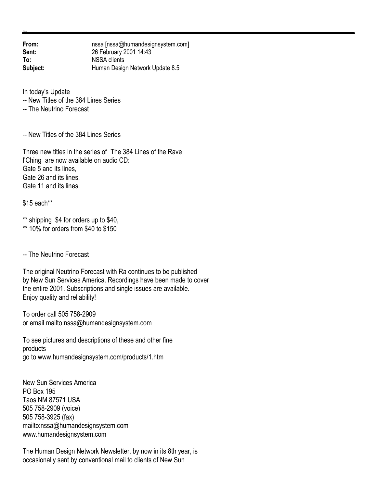**From:** nssa [nssa@humandesignsystem.com]<br> **Sent:** 26 February 2001 14:43 **Sent:** 26 February 2001 14:43 **To:** NSSA clients **Subject:** Human Design Network Update 8.5

In today's Update

-- New Titles of the 384 Lines Series

-- The Neutrino Forecast

-- New Titles of the 384 Lines Series

Three new titles in the series of The 384 Lines of the Rave I'Ching are now available on audio CD: Gate 5 and its lines, Gate 26 and its lines, Gate 11 and its lines.

\$15 each\*\*

\*\* shipping \$4 for orders up to \$40,

\*\* 10% for orders from \$40 to \$150

-- The Neutrino Forecast

The original Neutrino Forecast with Ra continues to be published by New Sun Services America. Recordings have been made to cover the entire 2001. Subscriptions and single issues are available. Enjoy quality and reliability!

To order call 505 758-2909 or email mailto:nssa@humandesignsystem.com

To see pictures and descriptions of these and other fine products go to www.humandesignsystem.com/products/1.htm

New Sun Services America PO Box 195 Taos NM 87571 USA 505 758-2909 (voice) 505 758-3925 (fax) mailto:nssa@humandesignsystem.com www.humandesignsystem.com

The Human Design Network Newsletter, by now in its 8th year, is occasionally sent by conventional mail to clients of New Sun